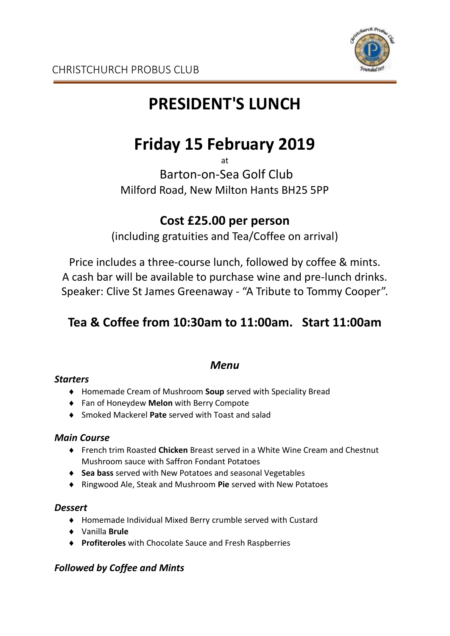

# **PRESIDENT'S LUNCH**

# **Friday 15 February 2019**

at

Barton-on-Sea Golf Club Milford Road, New Milton Hants BH25 5PP

## **Cost £25.00 per person**

(including gratuities and Tea/Coffee on arrival)

Price includes a three-course lunch, followed by coffee & mints. A cash bar will be available to purchase wine and pre-lunch drinks. Speaker: Clive St James Greenaway - "A Tribute to Tommy Cooper".

# **Tea & Coffee from 10:30am to 11:00am. Start 11:00am**

## *Menu*

### *Starters*

- Homemade Cream of Mushroom **Soup** served with Speciality Bread
- Fan of Honeydew **Melon** with Berry Compote
- Smoked Mackerel **Pate** served with Toast and salad

#### *Main Course*

- French trim Roasted **Chicken** Breast served in a White Wine Cream and Chestnut Mushroom sauce with Saffron Fondant Potatoes
- **Sea bass** served with New Potatoes and seasonal Vegetables
- Ringwood Ale, Steak and Mushroom **Pie** served with New Potatoes

#### *Dessert*

- Homemade Individual Mixed Berry crumble served with Custard
- Vanilla **Brule**
- **Profiteroles** with Chocolate Sauce and Fresh Raspberries

### *Followed by Coffee and Mints*